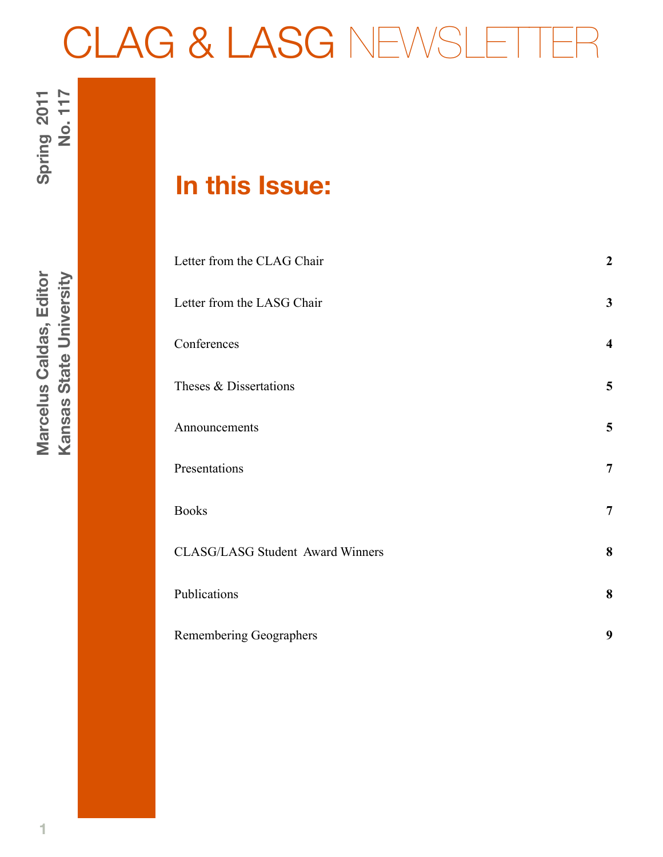# CLAG & LASG NEWSLET

# **In this Issue:**

| Letter from the CLAG Chair              | $\overline{2}$          |
|-----------------------------------------|-------------------------|
| Letter from the LASG Chair              | 3                       |
| Conferences                             | $\overline{\mathbf{4}}$ |
| Theses & Dissertations                  | 5                       |
| Announcements                           | 5                       |
| Presentations                           | 7                       |
| <b>Books</b>                            | 7                       |
| <b>CLASG/LASG Student Award Winners</b> | 8                       |
| Publications                            | 8                       |
| <b>Remembering Geographers</b>          | 9                       |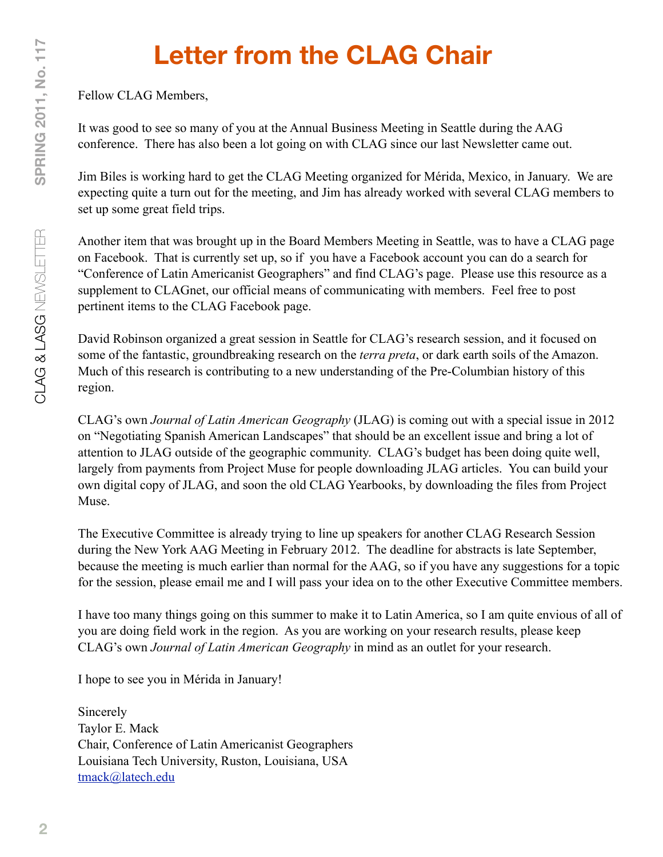# **Letter from the CLAG Chair**

Fellow CLAG Members,

It was good to see so many of you at the Annual Business Meeting in Seattle during the AAG conference. There has also been a lot going on with CLAG since our last Newsletter came out.

Jim Biles is working hard to get the CLAG Meeting organized for Mérida, Mexico, in January. We are expecting quite a turn out for the meeting, and Jim has already worked with several CLAG members to set up some great field trips.

Another item that was brought up in the Board Members Meeting in Seattle, was to have a CLAG page on Facebook. That is currently set up, so if you have a Facebook account you can do a search for "Conference of Latin Americanist Geographers" and find CLAG's page. Please use this resource as a supplement to CLAGnet, our official means of communicating with members. Feel free to post pertinent items to the CLAG Facebook page.

David Robinson organized a great session in Seattle for CLAG's research session, and it focused on some of the fantastic, groundbreaking research on the *terra preta*, or dark earth soils of the Amazon. Much of this research is contributing to a new understanding of the Pre-Columbian history of this region.

CLAG's own *Journal of Latin American Geography* (JLAG) is coming out with a special issue in 2012 on "Negotiating Spanish American Landscapes" that should be an excellent issue and bring a lot of attention to JLAG outside of the geographic community. CLAG's budget has been doing quite well, largely from payments from Project Muse for people downloading JLAG articles. You can build your own digital copy of JLAG, and soon the old CLAG Yearbooks, by downloading the files from Project Muse.

The Executive Committee is already trying to line up speakers for another CLAG Research Session during the New York AAG Meeting in February 2012. The deadline for abstracts is late September, because the meeting is much earlier than normal for the AAG, so if you have any suggestions for a topic for the session, please email me and I will pass your idea on to the other Executive Committee members.

I have too many things going on this summer to make it to Latin America, so I am quite envious of all of you are doing field work in the region. As you are working on your research results, please keep CLAG's own *Journal of Latin American Geography* in mind as an outlet for your research.

I hope to see you in Mérida in January!

Sincerely Taylor E. Mack Chair, Conference of Latin Americanist Geographers Louisiana Tech University, Ruston, Louisiana, USA [tmack@latech.edu](mailto:tmack@latech.edu)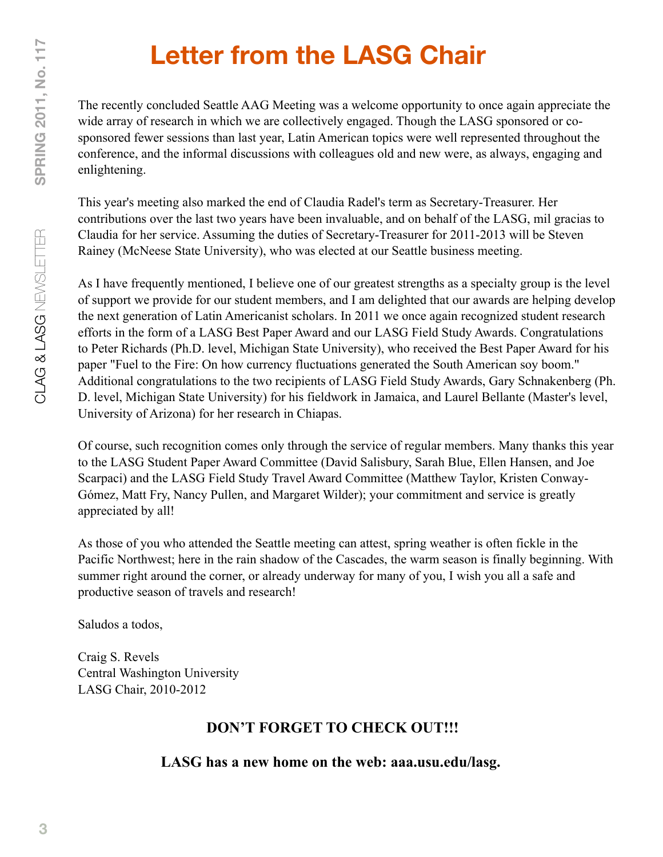# **Letter from the LASG Chair**

The recently concluded Seattle AAG Meeting was a welcome opportunity to once again appreciate the wide array of research in which we are collectively engaged. Though the LASG sponsored or cosponsored fewer sessions than last year, Latin American topics were well represented throughout the conference, and the informal discussions with colleagues old and new were, as always, engaging and enlightening.

This year's meeting also marked the end of Claudia Radel's term as Secretary-Treasurer. Her contributions over the last two years have been invaluable, and on behalf of the LASG, mil gracias to Claudia for her service. Assuming the duties of Secretary-Treasurer for 2011-2013 will be Steven Rainey (McNeese State University), who was elected at our Seattle business meeting.

As I have frequently mentioned, I believe one of our greatest strengths as a specialty group is the level of support we provide for our student members, and I am delighted that our awards are helping develop the next generation of Latin Americanist scholars. In 2011 we once again recognized student research efforts in the form of a LASG Best Paper Award and our LASG Field Study Awards. Congratulations to Peter Richards (Ph.D. level, Michigan State University), who received the Best Paper Award for his paper "Fuel to the Fire: On how currency fluctuations generated the South American soy boom." Additional congratulations to the two recipients of LASG Field Study Awards, Gary Schnakenberg (Ph. D. level, Michigan State University) for his fieldwork in Jamaica, and Laurel Bellante (Master's level, University of Arizona) for her research in Chiapas.

Of course, such recognition comes only through the service of regular members. Many thanks this year to the LASG Student Paper Award Committee (David Salisbury, Sarah Blue, Ellen Hansen, and Joe Scarpaci) and the LASG Field Study Travel Award Committee (Matthew Taylor, Kristen Conway-Gómez, Matt Fry, Nancy Pullen, and Margaret Wilder); your commitment and service is greatly appreciated by all!

As those of you who attended the Seattle meeting can attest, spring weather is often fickle in the Pacific Northwest; here in the rain shadow of the Cascades, the warm season is finally beginning. With summer right around the corner, or already underway for many of you, I wish you all a safe and productive season of travels and research!

Saludos a todos,

Craig S. Revels Central Washington University LASG Chair, 2010-2012

#### **DON'T FORGET TO CHECK OUT!!!**

#### **LASG has a new home on the web: aaa.usu.edu/lasg.**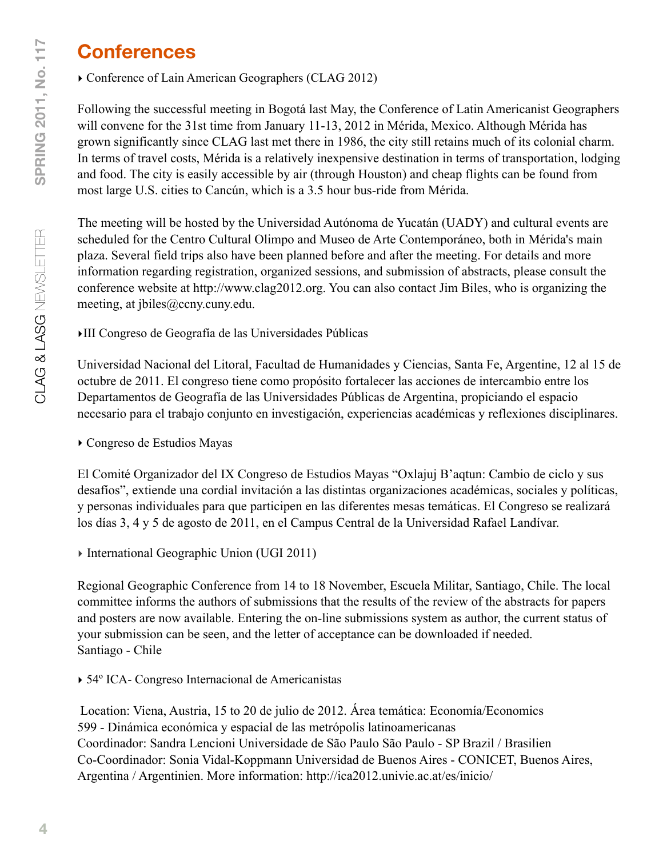### **Conferences**

‣ Conference of Lain American Geographers (CLAG 2012)

Following the successful meeting in Bogotá last May, the Conference of Latin Americanist Geographers will convene for the 31st time from January 11-13, 2012 in Mérida, Mexico. Although Mérida has grown significantly since CLAG last met there in 1986, the city still retains much of its colonial charm. In terms of travel costs, Mérida is a relatively inexpensive destination in terms of transportation, lodging and food. The city is easily accessible by air (through Houston) and cheap flights can be found from most large U.S. cities to Cancún, which is a 3.5 hour bus-ride from Mérida.

The meeting will be hosted by the Universidad Autónoma de Yucatán (UADY) and cultural events are scheduled for the Centro Cultural Olimpo and Museo de Arte Contemporáneo, both in Mérida's main plaza. Several field trips also have been planned before and after the meeting. For details and more information regarding registration, organized sessions, and submission of abstracts, please consult the conference website at [http://www.clag2012.org.](http://www.clag2012.org/) You can also contact Jim Biles, who is organizing the meeting, at [jbiles@ccny.cuny.edu.](mailto:jbiles@ccny.cuny.edu)

‣III Congreso de Geografía de las Universidades Públicas

Universidad Nacional del Litoral, Facultad de Humanidades y Ciencias, Santa Fe, Argentine, 12 al 15 de octubre de 2011. El congreso tiene como propósito fortalecer las acciones de intercambio entre los Departamentos de Geografía de las Universidades Públicas de Argentina, propiciando el espacio necesario para el trabajo conjunto en investigación, experiencias académicas y reflexiones disciplinares.

‣ Congreso de Estudios Mayas

El Comité Organizador del IX Congreso de Estudios Mayas "Oxlajuj B'aqtun: Cambio de ciclo y sus desafíos", extiende una cordial invitación a las distintas organizaciones académicas, sociales y políticas, y personas individuales para que participen en las diferentes mesas temáticas. El Congreso se realizará los días 3, 4 y 5 de agosto de 2011, en el Campus Central de la Universidad Rafael Landívar.

‣ International Geographic Union (UGI 2011)

Regional Geographic Conference from 14 to 18 November, Escuela Militar, Santiago, Chile. The local committee informs the authors of submissions that the results of the review of the abstracts for papers and posters are now available. Entering the on-line submissions system as author, the current status of your submission can be seen, and the letter of acceptance can be downloaded if needed. Santiago - Chile

‣ 54º ICA- Congreso Internacional de Americanistas

Location: Viena, Austria, 15 to 20 de julio de 2012. Área temática: Economía/Economics 599 - Dinámica económica y espacial de las metrópolis latinoamericanas Coordinador: Sandra Lencioni Universidade de São Paulo São Paulo - SP Brazil / Brasilien Co-Coordinador: Sonia Vidal-Koppmann Universidad de Buenos Aires - CONICET, Buenos Aires, Argentina / Argentinien. More information:<http://ica2012.univie.ac.at/es/inicio/>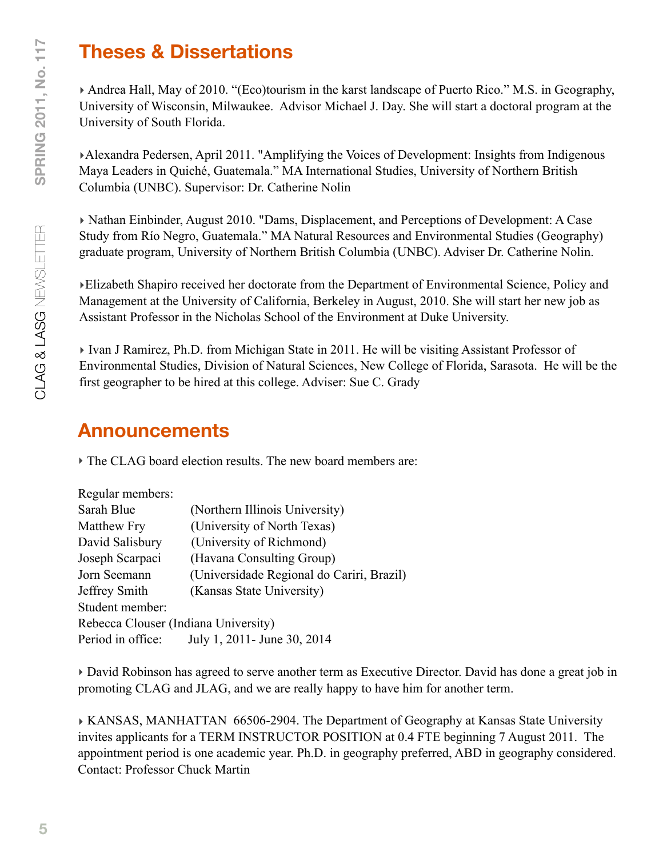### **Theses & Dissertations**

‣ Andrea Hall, May of 2010. "(Eco)tourism in the karst landscape of Puerto Rico." M.S. in Geography, University of Wisconsin, Milwaukee. Advisor Michael J. Day. She will start a doctoral program at the University of South Florida.

‣Alexandra Pedersen, April 2011. "Amplifying the Voices of Development: Insights from Indigenous Maya Leaders in Quiché, Guatemala." MA International Studies, University of Northern British Columbia (UNBC). Supervisor: Dr. Catherine Nolin

‣ Nathan Einbinder, August 2010. "Dams, Displacement, and Perceptions of Development: A Case Study from Río Negro, Guatemala." MA Natural Resources and Environmental Studies (Geography) graduate program, University of Northern British Columbia (UNBC). Adviser Dr. Catherine Nolin.

‣Elizabeth Shapiro received her doctorate from the Department of Environmental Science, Policy and Management at the University of California, Berkeley in August, 2010. She will start her new job as Assistant Professor in the Nicholas School of the Environment at Duke University.

‣ Ivan J Ramirez, Ph.D. from Michigan State in 2011. He will be visiting Assistant Professor of Environmental Studies, Division of Natural Sciences, New College of Florida, Sarasota. He will be the first geographer to be hired at this college. Adviser: Sue C. Grady

#### **Announcements**

‣ The CLAG board election results. The new board members are:

| Regular members:                     |                                           |
|--------------------------------------|-------------------------------------------|
| Sarah Blue                           | (Northern Illinois University)            |
| <b>Matthew Fry</b>                   | (University of North Texas)               |
| David Salisbury                      | (University of Richmond)                  |
| Joseph Scarpaci                      | (Havana Consulting Group)                 |
| Jorn Seemann                         | (Universidade Regional do Cariri, Brazil) |
| Jeffrey Smith                        | (Kansas State University)                 |
| Student member:                      |                                           |
| Rebecca Clouser (Indiana University) |                                           |
| Period in office:                    | July 1, 2011 - June 30, 2014              |

‣ David Robinson has agreed to serve another term as Executive Director. David has done a great job in promoting CLAG and JLAG, and we are really happy to have him for another term.

‣ KANSAS, MANHATTAN 66506-2904. The Department of Geography at Kansas State University invites applicants for a TERM INSTRUCTOR POSITION at 0.4 FTE beginning 7 August 2011. The appointment period is one academic year. Ph.D. in geography preferred, ABD in geography considered. Contact: Professor Chuck Martin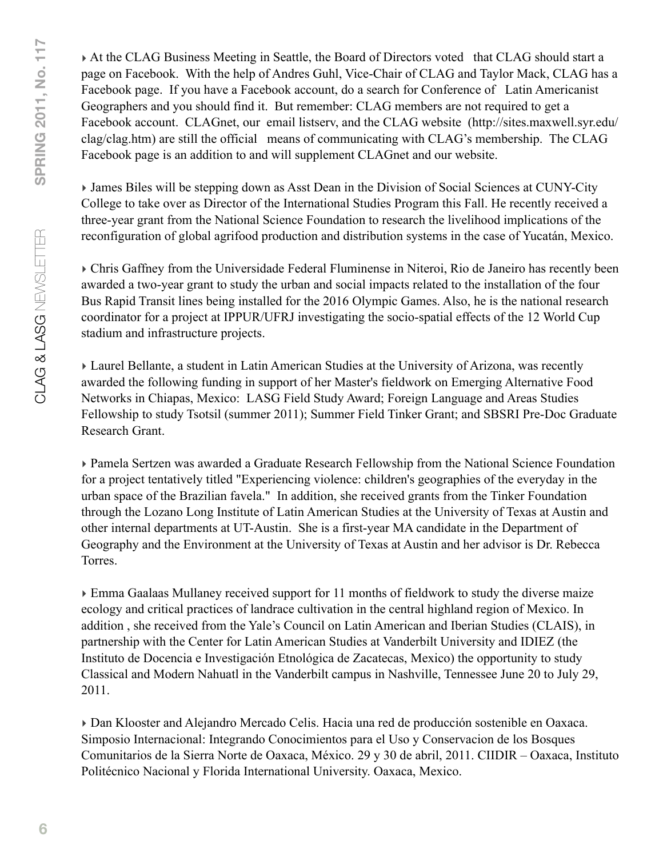‣ At the CLAG Business Meeting in Seattle, the Board of Directors voted that CLAG should start a page on Facebook. With the help of Andres Guhl, Vice-Chair of CLAG and Taylor Mack, CLAG has a Facebook page. If you have a Facebook account, do a search for Conference of Latin Americanist Geographers and you should find it. But remember: CLAG members are not required to get a Facebook account. CLAGnet, our email listserv, and the CLAG website [\(http://sites.maxwell.syr.edu/](http://sites.maxwell.syr.edu/clag/clag.htm) [clag/clag.htm\)](http://sites.maxwell.syr.edu/clag/clag.htm) are still the official means of communicating with CLAG's membership. The CLAG Facebook page is an addition to and will supplement CLAGnet and our website.

‣ James Biles will be stepping down as Asst Dean in the Division of Social Sciences at CUNY-City College to take over as Director of the International Studies Program this Fall. He recently received a three-year grant from the National Science Foundation to research the livelihood implications of the reconfiguration of global agrifood production and distribution systems in the case of Yucatán, Mexico.

‣ Chris Gaffney from the Universidade Federal Fluminense in Niteroi, Rio de Janeiro has recently been awarded a two-year grant to study the urban and social impacts related to the installation of the four Bus Rapid Transit lines being installed for the 2016 Olympic Games. Also, he is the national research coordinator for a project at IPPUR/UFRJ investigating the socio-spatial effects of the 12 World Cup stadium and infrastructure projects.

‣ Laurel Bellante, a student in Latin American Studies at the University of Arizona, was recently awarded the following funding in support of her Master's fieldwork on Emerging Alternative Food Networks in Chiapas, Mexico: LASG Field Study Award; Foreign Language and Areas Studies Fellowship to study Tsotsil (summer 2011); Summer Field Tinker Grant; and SBSRI Pre-Doc Graduate Research Grant.

‣ Pamela Sertzen was awarded a Graduate Research Fellowship from the National Science Foundation for a project tentatively titled "Experiencing violence: children's geographies of the everyday in the urban space of the Brazilian favela." In addition, she received grants from the Tinker Foundation through the Lozano Long Institute of Latin American Studies at the University of Texas at Austin and other internal departments at UT-Austin. She is a first-year MA candidate in the Department of Geography and the Environment at the University of Texas at Austin and her advisor is Dr. Rebecca Torres.

‣ Emma Gaalaas Mullaney received support for 11 months of fieldwork to study the diverse maize ecology and critical practices of landrace cultivation in the central highland region of Mexico. In addition , she received from the Yale's Council on Latin American and Iberian Studies (CLAIS), in partnership with the Center for Latin American Studies at Vanderbilt University and IDIEZ (the Instituto de Docencia e Investigación Etnológica de Zacatecas, Mexico) the opportunity to study Classical and Modern Nahuatl in the Vanderbilt campus in Nashville, Tennessee June 20 to July 29, 2011.

‣ Dan Klooster and Alejandro Mercado Celis. Hacia una red de producción sostenible en Oaxaca. Simposio Internacional: Integrando Conocimientos para el Uso y Conservacion de los Bosques Comunitarios de la Sierra Norte de Oaxaca, México. 29 y 30 de abril, 2011. CIIDIR – Oaxaca, Instituto Politécnico Nacional y Florida International University. Oaxaca, Mexico.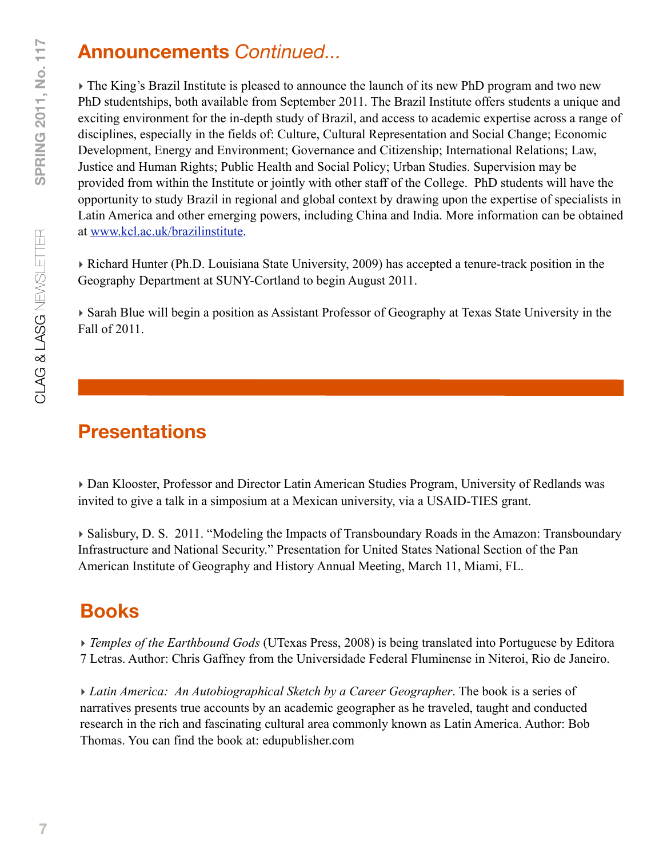### **Announcements** *Continued...*

‣ The King's Brazil Institute is pleased to announce the launch of its new PhD program and two new PhD studentships, both available from September 2011. The Brazil Institute offers students a unique and exciting environment for the in-depth study of Brazil, and access to academic expertise across a range of disciplines, especially in the fields of: Culture, Cultural Representation and Social Change; Economic Development, Energy and Environment; Governance and Citizenship; International Relations; Law, Justice and Human Rights; Public Health and Social Policy; Urban Studies. Supervision may be provided from within the Institute or jointly with other staff of the College. PhD students will have the opportunity to study Brazil in regional and global context by drawing upon the expertise of specialists in Latin America and other emerging powers, including China and India. More information can be obtained at [www.kcl.ac.uk/brazilinstitute.](http://www.kcl.ac.uk/brazilinstitute)

‣ Richard Hunter (Ph.D. Louisiana State University, 2009) has accepted a tenure-track position in the Geography Department at SUNY-Cortland to begin August 2011.

‣ Sarah Blue will begin a position as Assistant Professor of Geography at Texas State University in the Fall of 2011.

# **Presentations**

‣ Dan Klooster, Professor and Director Latin American Studies Program, University of Redlands was invited to give a talk in a simposium at a Mexican university, via a USAID-TIES grant.

‣ Salisbury, D. S. 2011. "Modeling the Impacts of Transboundary Roads in the Amazon: Transboundary Infrastructure and National Security." Presentation for United States National Section of the Pan American Institute of Geography and History Annual Meeting, March 11, Miami, FL.

# **Books**

‣ *Temples of the Earthbound Gods* (UTexas Press, 2008) is being translated into Portuguese by Editora 7 Letras. Author: Chris Gaffney from the Universidade Federal Fluminense in Niteroi, Rio de Janeiro.

‣ *Latin America: An Autobiographical Sketch by a Career Geographer*. The book is a series of narratives presents true accounts by an academic geographer as he traveled, taught and conducted research in the rich and fascinating cultural area commonly known as Latin America. Author: Bob Thomas. You can find the book at: edupublisher.com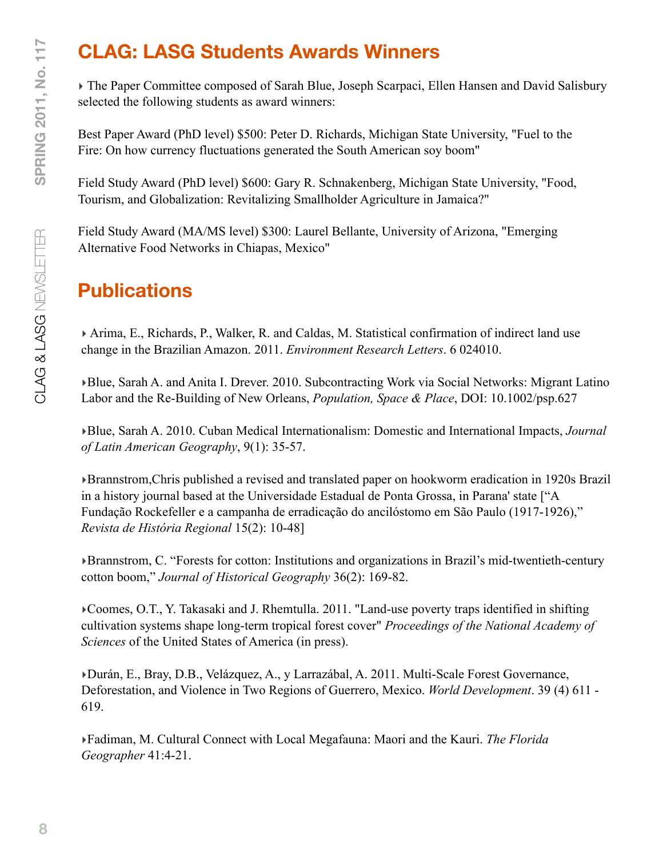# **CLAG: LASG Students Awards Winners**

‣ The Paper Committee composed of Sarah Blue, Joseph Scarpaci, Ellen Hansen and David Salisbury selected the following students as award winners:

Best Paper Award (PhD level) \$500: Peter D. Richards, Michigan State University, "Fuel to the Fire: On how currency fluctuations generated the South American soy boom"

Field Study Award (PhD level) \$600: Gary R. Schnakenberg, Michigan State University, "Food, Tourism, and Globalization: Revitalizing Smallholder Agriculture in Jamaica?"

Field Study Award (MA/MS level) \$300: Laurel Bellante, University of Arizona, "Emerging Alternative Food Networks in Chiapas, Mexico"

### **Publications**

‣ Arima, E., Richards, P., Walker, R. and Caldas, M. Statistical confirmation of indirect land use change in the Brazilian Amazon. 2011. *Environment Research Letters*. 6 024010.

‣Blue, Sarah A. and Anita I. Drever. 2010. Subcontracting Work via Social Networks: Migrant Latino Labor and the Re-Building of New Orleans, *Population, Space & Place*, DOI: 10.1002/psp.627

‣Blue, Sarah A. 2010. Cuban Medical Internationalism: Domestic and International Impacts, *Journal of Latin American Geography*, 9(1): 35-57.

‣Brannstrom,Chris published a revised and translated paper on hookworm eradication in 1920s Brazil in a history journal based at the Universidade Estadual de Ponta Grossa, in Parana' state ["A Fundação Rockefeller e a campanha de erradicação do ancilóstomo em São Paulo (1917-1926)," *Revista de História Regional* 15(2): 10-48]

‣Brannstrom, C. "Forests for cotton: Institutions and organizations in Brazil's mid-twentieth-century cotton boom," *Journal of Historical Geography* 36(2): 169-82.

‣Coomes, O.T., Y. Takasaki and J. Rhemtulla. 2011. "Land-use poverty traps identified in shifting cultivation systems shape long-term tropical forest cover" *Proceedings of the National Academy of Sciences* of the United States of America (in press).

‣Durán, E., Bray, D.B., Velázquez, A., y Larrazábal, A. 2011. Multi-Scale Forest Governance, Deforestation, and Violence in Two Regions of Guerrero, Mexico. *World Development*. 39 (4) 611 - 619.

‣Fadiman, M. Cultural Connect with Local Megafauna: Maori and the Kauri. *The Florida Geographer* 41:4-21.